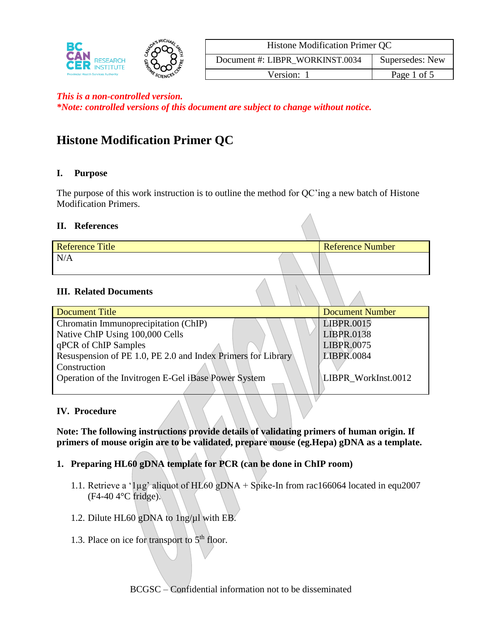

| <b>Histone Modification Primer QC</b> |                 |  |
|---------------------------------------|-----------------|--|
| Document #: LIBPR_WORKINST.0034       | Supersedes: New |  |
| Version: 1                            | Page 1 of 5     |  |

*\*Note: controlled versions of this document are subject to change without notice.*

# **Histone Modification Primer QC**

# **I. Purpose**

The purpose of this work instruction is to outline the method for QC'ing a new batch of Histone Modification Primers.

#### **II. References**

| <b>Reference Title</b> | <b>Reference Number</b> |
|------------------------|-------------------------|
| N/A                    |                         |

# **III. Related Documents**

| Document Title                                               | <b>Document Number</b> |
|--------------------------------------------------------------|------------------------|
| Chromatin Immunoprecipitation (ChIP)                         | LIBPR.0015             |
| Native ChIP Using 100,000 Cells                              | LIBPR.0138             |
| qPCR of ChIP Samples                                         | LIBPR.0075             |
| Resuspension of PE 1.0, PE 2.0 and Index Primers for Library | LIBPR.0084             |
| Construction                                                 |                        |
| Operation of the Invitrogen E-Gel iBase Power System         | LIBPR WorkInst.0012    |
|                                                              |                        |

#### **IV. Procedure**

**Note: The following instructions provide details of validating primers of human origin. If primers of mouse origin are to be validated, prepare mouse (eg.Hepa) gDNA as a template.**

- **1. Preparing HL60 gDNA template for PCR (can be done in ChIP room)**
	- 1.1. Retrieve a '1µg' aliquot of HL60 gDNA + Spike-In from rac166064 located in equ2007 (F4-40 4°C fridge).
	- 1.2. Dilute HL60 gDNA to 1ng/µl with EB.
	- 1.3. Place on ice for transport to  $5<sup>th</sup>$  floor.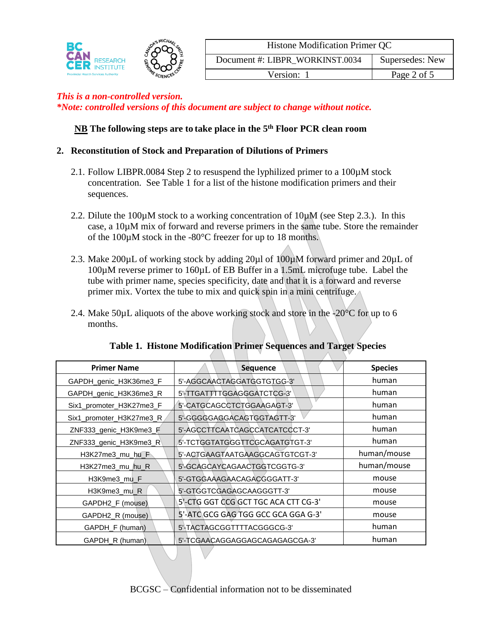

| Histone Modification Primer QC  |                 |  |
|---------------------------------|-----------------|--|
| Document #: LIBPR WORKINST.0034 | Supersedes: New |  |
| Version: 1                      | Page 2 of 5     |  |

*\*Note: controlled versions of this document are subject to change without notice.*

# **NB The following steps are to take place in the 5 th Floor PCR clean room**

#### **2. Reconstitution of Stock and Preparation of Dilutions of Primers**

- 2.1. Follow LIBPR.0084 Step 2 to resuspend the lyphilized primer to a 100µM stock concentration. See Table 1 for a list of the histone modification primers and their sequences.
- 2.2. Dilute the 100 $\mu$ M stock to a working concentration of 10 $\mu$ M (see Step 2.3.). In this case, a 10µM mix of forward and reverse primers in the same tube. Store the remainder of the 100µM stock in the -80°C freezer for up to 18 months.
- 2.3. Make 200µL of working stock by adding 20µl of 100µM forward primer and 20µL of 100µM reverse primer to 160µL of EB Buffer in a 1.5mL microfuge tube. Label the tube with primer name, species specificity, date and that it is a forward and reverse primer mix. Vortex the tube to mix and quick spin in a mini centrifuge.
- 2.4. Make 50 $\mu$ L aliquots of the above working stock and store in the  $-20^{\circ}$ C for up to 6 months.

| <b>Primer Name</b>       | <b>Sequence</b>                      | <b>Species</b> |
|--------------------------|--------------------------------------|----------------|
| GAPDH_genic_H3K36me3_F   | 5'-AGGCAACTAGGATGGTGTGG-3'           | human          |
| GAPDH_genic_H3K36me3_R   | 5'-TTGATTTTGGAGGGATCTCG-3'           | human          |
| Six1_promoter_H3K27me3_F | 5'-CATGCAGCCTCTGGAAGAGT-3'           | human          |
| Six1_promoter_H3K27me3_R | 5'-GGGGGAGGACAGTGGTAGTT-3'           | human          |
| ZNF333_genic_H3K9me3_F   | 5'-AGCCTTCAATCAGCCATCATCCCT-3'       | human          |
| ZNF333_genic_H3K9me3_R   | 5'-TCTGGTATGGGTTCGCAGATGTGT-3'       | human          |
| $H3K27$ me3 mu hu $F$    | 5'-ACTGAAGTAATGAAGGCAGTGTCGT-3'      | human/mouse    |
| H3K27me3_mu_hu_R         | 5'-GCAGCAYCAGAACTGGTCGGTG-3'         | human/mouse    |
| H3K9me3_mu_F             | 5'-GTGGAAAGAACAGACGGGATT-3'          | mouse          |
| H3K9me3_mu_R             | 5'-GTGGTCGAGAGCAAGGGTT-3'            | mouse          |
| GAPDH2_F (mouse)         | 5'-CTG GGT CCG GCT TGC ACA CTT CG-3' | mouse          |
| GAPDH2_R (mouse)         | 5'-ATC GCG GAG TGG GCC GCA GGA G-3'  | mouse          |
| GAPDH_F (human)          | 5'-TACTAGCGGTTTTACGGGCG-3'           | human          |
| GAPDH R (human)          | 5'-TCGAACAGGAGGAGCAGAGAGCGA-3'       | human          |

#### **Table 1. Histone Modification Primer Sequences and Target Species**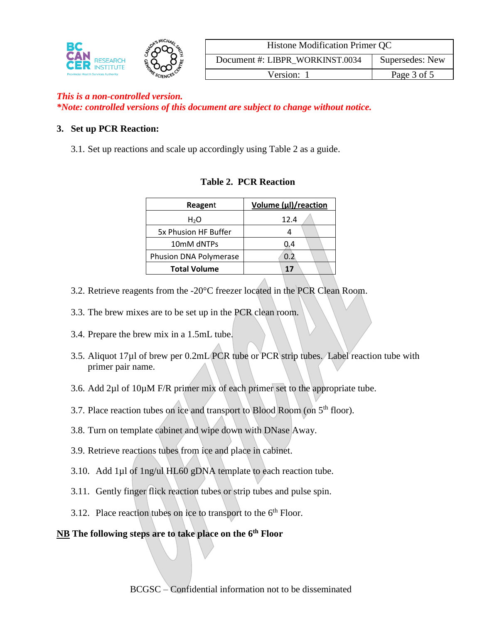

| Histone Modification Primer QC  |                 |  |
|---------------------------------|-----------------|--|
| Document #: LIBPR WORKINST.0034 | Supersedes: New |  |
| Version: 1                      | Page 3 of 5     |  |

*\*Note: controlled versions of this document are subject to change without notice.*

# **3. Set up PCR Reaction:**

3.1. Set up reactions and scale up accordingly using Table 2 as a guide.

| Reagent                | Volume (µl)/reaction |
|------------------------|----------------------|
| H <sub>2</sub> O       | 12.4                 |
| 5x Phusion HF Buffer   |                      |
| 10mM dNTPs             | 0.4                  |
| Phusion DNA Polymerase | 0.2                  |
| <b>Total Volume</b>    | 17                   |

# **Table 2. PCR Reaction**

- 3.2. Retrieve reagents from the -20°C freezer located in the PCR Clean Room.
- 3.3. The brew mixes are to be set up in the PCR clean room.
- 3.4. Prepare the brew mix in a 1.5mL tube.
- 3.5. Aliquot 17µl of brew per 0.2mL PCR tube or PCR strip tubes. Label reaction tube with primer pair name.
- 3.6. Add 2µl of 10µM F/R primer mix of each primer set to the appropriate tube.
- 3.7. Place reaction tubes on ice and transport to Blood Room (on 5<sup>th</sup> floor).
- 3.8. Turn on template cabinet and wipe down with DNase Away.
- 3.9. Retrieve reactions tubes from ice and place in cabinet.
- 3.10. Add 1µl of 1ng/ul HL60 gDNA template to each reaction tube.
- 3.11. Gently finger flick reaction tubes or strip tubes and pulse spin.
- 3.12. Place reaction tubes on ice to transport to the  $6<sup>th</sup>$  Floor.

# **NB The following steps are to take place on the 6th Floor**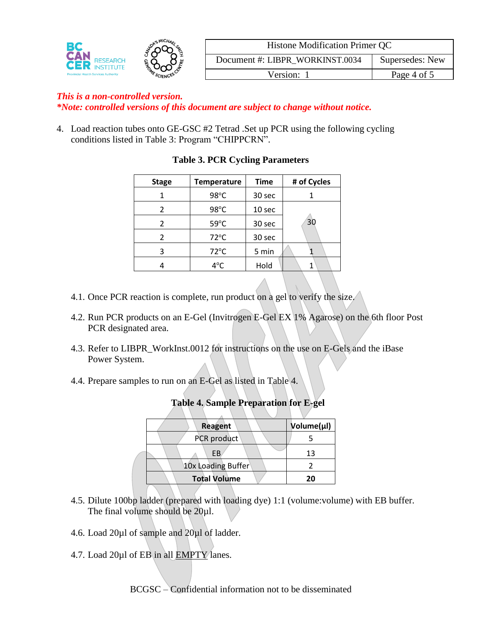

| Histone Modification Primer QC  |                 |  |
|---------------------------------|-----------------|--|
| Document #: LIBPR WORKINST.0034 | Supersedes: New |  |
| Version: 1                      | Page 4 of 5     |  |

*\*Note: controlled versions of this document are subject to change without notice.*

4. Load reaction tubes onto GE-GSC #2 Tetrad .Set up PCR using the following cycling conditions listed in Table 3: Program "CHIPPCRN".

| <b>Stage</b> | <b>Temperature</b> | <b>Time</b> | # of Cycles |
|--------------|--------------------|-------------|-------------|
|              | $98^{\circ}$ C     | 30 sec      |             |
| 2            | 98°C               | 10 sec      |             |
| 2            | 59°C               | 30 sec      | 30          |
| 2            | $72^{\circ}$ C     | 30 sec      |             |
|              | $72^{\circ}$ C     | 5 min       |             |
|              | $4^{\circ}$ C      | Hold        |             |

# **Table 3. PCR Cycling Parameters**

- 4.1. Once PCR reaction is complete, run product on a gel to verify the size.
- 4.2. Run PCR products on an E-Gel (Invitrogen E-Gel EX 1% Agarose) on the 6th floor Post PCR designated area.
- 4.3. Refer to LIBPR\_WorkInst.0012 for instructions on the use on E-Gels and the iBase Power System.
- 4.4. Prepare samples to run on an E-Gel as listed in Table 4.

| <b>Reagent</b>      | Volume(µl) |
|---------------------|------------|
| PCR product         |            |
| FB                  | 13         |
| 10x Loading Buffer  |            |
| <b>Total Volume</b> | 20         |
|                     |            |

#### **Table 4. Sample Preparation for E-gel**

- 4.5. Dilute 100bp ladder (prepared with loading dye) 1:1 (volume:volume) with EB buffer. The final volume should be 20µl.
- 4.6. Load 20µl of sample and 20µl of ladder.
- 4.7. Load 20µl of EB in all **EMPTY** lanes.